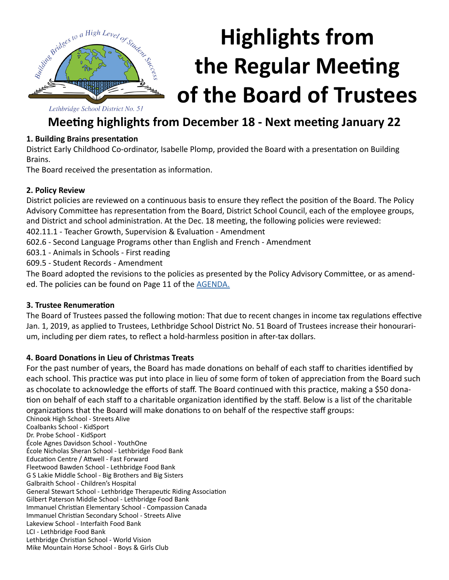

# **Highlights from the Regular Meeting of the Board of Trustees**

Lethbridge School District No. 51

### **Meeting highlights from December 18 - Next meeting January 22**

#### **1. Building Brains presentation**

District Early Childhood Co-ordinator, Isabelle Plomp, provided the Board with a presentation on Building Brains.

The Board received the presentation as information.

#### **2. Policy Review**

District policies are reviewed on a continuous basis to ensure they reflect the position of the Board. The Policy Advisory Committee has representation from the Board, District School Council, each of the employee groups, and District and school administration. At the Dec. 18 meeting, the following policies were reviewed:

402.11.1 - Teacher Growth, Supervision & Evaluation - Amendment

602.6 - Second Language Programs other than English and French - Amendment

603.1 - Animals in Schools - First reading

609.5 - Student Records - Amendment

The Board adopted the revisions to the policies as presented by the Policy Advisory Committee, or as amended. The policies can be found on Page 11 of the [AGENDA.](http://www.lethsd.ab.ca/documents/general/2018-12-18%20Board%20Meeting%20Agenda.pdf)

#### **3. Trustee Renumeration**

The Board of Trustees passed the following motion: That due to recent changes in income tax regulations effective Jan. 1, 2019, as applied to Trustees, Lethbridge School District No. 51 Board of Trustees increase their honourarium, including per diem rates, to reflect a hold-harmless position in after-tax dollars.

#### **4. Board Donations in Lieu of Christmas Treats**

For the past number of years, the Board has made donations on behalf of each staff to charities identified by each school. This practice was put into place in lieu of some form of token of appreciation from the Board such as chocolate to acknowledge the efforts of staff. The Board continued with this practice, making a \$50 donation on behalf of each staff to a charitable organization identified by the staff. Below is a list of the charitable organizations that the Board will make donations to on behalf of the respective staff groups:

Chinook High School - Streets Alive Coalbanks School - KidSport Dr. Probe School - KidSport École Agnes Davidson School - YouthOne École Nicholas Sheran School - Lethbridge Food Bank Education Centre / Attwell - Fast Forward Fleetwood Bawden School - Lethbridge Food Bank G S Lakie Middle School - Big Brothers and Big Sisters Galbraith School - Children's Hospital General Stewart School - Lethbridge Therapeutic Riding Association Gilbert Paterson Middle School - Lethbridge Food Bank Immanuel Christian Elementary School - Compassion Canada Immanuel Christian Secondary School - Streets Alive Lakeview School - Interfaith Food Bank LCI - Lethbridge Food Bank Lethbridge Christian School - World Vision Mike Mountain Horse School - Boys & Girls Club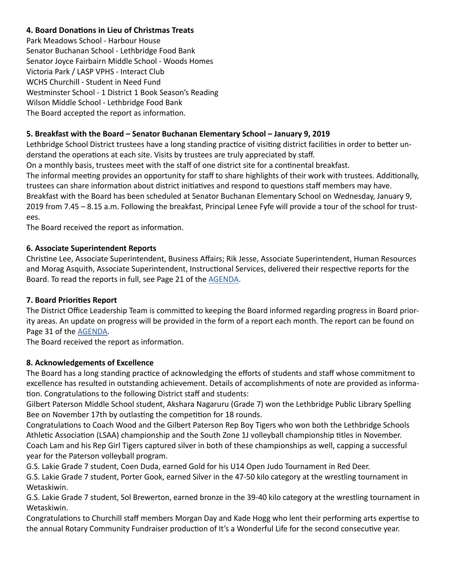#### **4. Board Donations in Lieu of Christmas Treats**

Park Meadows School - Harbour House Senator Buchanan School - Lethbridge Food Bank Senator Joyce Fairbairn Middle School - Woods Homes Victoria Park / LASP VPHS - Interact Club WCHS Churchill - Student in Need Fund Westminster School - 1 District 1 Book Season's Reading Wilson Middle School - Lethbridge Food Bank The Board accepted the report as information.

#### **5. Breakfast with the Board – Senator Buchanan Elementary School – January 9, 2019**

Lethbridge School District trustees have a long standing practice of visiting district facilities in order to better understand the operations at each site. Visits by trustees are truly appreciated by staff.

On a monthly basis, trustees meet with the staff of one district site for a continental breakfast.

The informal meeting provides an opportunity for staff to share highlights of their work with trustees. Additionally, trustees can share information about district initiatives and respond to questions staff members may have. Breakfast with the Board has been scheduled at Senator Buchanan Elementary School on Wednesday, January 9, 2019 from 7.45 – 8.15 a.m. Following the breakfast, Principal Lenee Fyfe will provide a tour of the school for trustees.

The Board received the report as information.

#### **6. Associate Superintendent Reports**

Christine Lee, Associate Superintendent, Business Affairs; Rik Jesse, Associate Superintendent, Human Resources and Morag Asquith, Associate Superintendent, Instructional Services, delivered their respective reports for the Board. To read the reports in full, see Page 21 of the [AGENDA](http://www.lethsd.ab.ca/documents/general/2018-12-18%20Board%20Meeting%20Agenda.pdf).

#### **7. Board Priorities Report**

The District Office Leadership Team is committed to keeping the Board informed regarding progress in Board priority areas. An update on progress will be provided in the form of a report each month. The report can be found on Page 31 of the [AGENDA](http://www.lethsd.ab.ca/documents/general/2018-12-18%20Board%20Meeting%20Agenda.pdf).

The Board received the report as information.

#### **8. Acknowledgements of Excellence**

The Board has a long standing practice of acknowledging the efforts of students and staff whose commitment to excellence has resulted in outstanding achievement. Details of accomplishments of note are provided as information. Congratulations to the following District staff and students:

Gilbert Paterson Middle School student, Akshara Nagaruru (Grade 7) won the Lethbridge Public Library Spelling Bee on November 17th by outlasting the competition for 18 rounds.

Congratulations to Coach Wood and the Gilbert Paterson Rep Boy Tigers who won both the Lethbridge Schools Athletic Association (LSAA) championship and the South Zone 1J volleyball championship titles in November. Coach Lam and his Rep Girl Tigers captured silver in both of these championships as well, capping a successful year for the Paterson volleyball program.

G.S. Lakie Grade 7 student, Coen Duda, earned Gold for his U14 Open Judo Tournament in Red Deer.

G.S. Lakie Grade 7 student, Porter Gook, earned Silver in the 47-50 kilo category at the wrestling tournament in Wetaskiwin.

G.S. Lakie Grade 7 student, Sol Brewerton, earned bronze in the 39-40 kilo category at the wrestling tournament in Wetaskiwin.

Congratulations to Churchill staff members Morgan Day and Kade Hogg who lent their performing arts expertise to the annual Rotary Community Fundraiser production of It's a Wonderful Life for the second consecutive year.